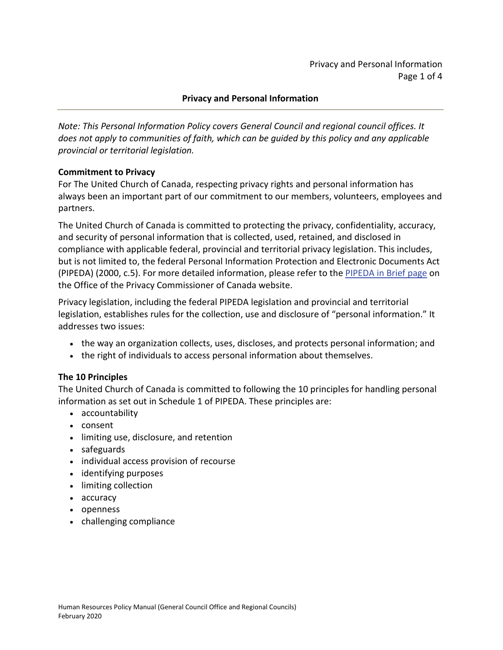#### **Privacy and Personal Information**

*Note: This Personal Information Policy covers General Council and regional council offices. It does not apply to communities of faith, which can be guided by this policy and any applicable provincial or territorial legislation.*

#### **Commitment to Privacy**

For The United Church of Canada, respecting privacy rights and personal information has always been an important part of our commitment to our members, volunteers, employees and partners.

The United Church of Canada is committed to protecting the privacy, confidentiality, accuracy, and security of personal information that is collected, used, retained, and disclosed in compliance with applicable federal, provincial and territorial privacy legislation. This includes, but is not limited to, the federal Personal Information Protection and Electronic Documents Act (PIPEDA) (2000, c.5). For more detailed information, please refer to the [PIPEDA in Brief page](http://www.priv.gc.ca/en/privacy-topics/privacy-laws-in-canada/the-personal-information-protection-and-electronic-documents-act-pipeda/pipeda_brief/) on the Office of the Privacy Commissioner of Canada website.

Privacy legislation, including the federal PIPEDA legislation and provincial and territorial legislation, establishes rules for the collection, use and disclosure of "personal information." It addresses two issues:

- the way an organization collects, uses, discloses, and protects personal information; and
- the right of individuals to access personal information about themselves.

# **The 10 Principles**

The United Church of Canada is committed to following the 10 principles for handling personal information as set out in Schedule 1 of PIPEDA. These principles are:

- accountability
- consent
- limiting use, disclosure, and retention
- safeguards
- individual access provision of recourse
- identifying purposes
- limiting collection
- accuracy
- openness
- challenging compliance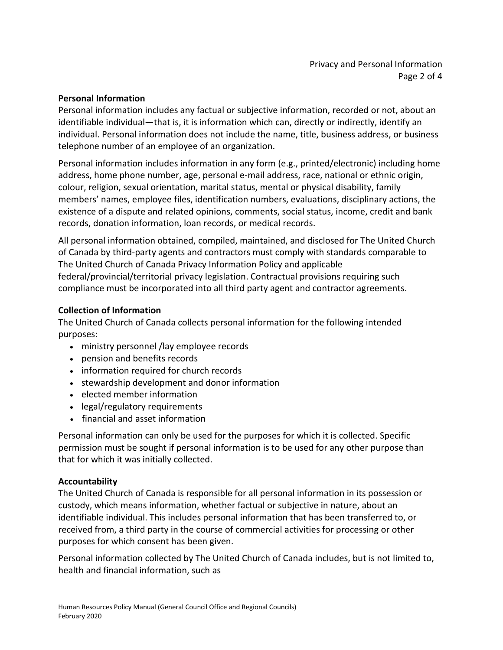#### **Personal Information**

Personal information includes any factual or subjective information, recorded or not, about an identifiable individual—that is, it is information which can, directly or indirectly, identify an individual. Personal information does not include the name, title, business address, or business telephone number of an employee of an organization.

Personal information includes information in any form (e.g., printed/electronic) including home address, home phone number, age, personal e-mail address, race, national or ethnic origin, colour, religion, sexual orientation, marital status, mental or physical disability, family members' names, employee files, identification numbers, evaluations, disciplinary actions, the existence of a dispute and related opinions, comments, social status, income, credit and bank records, donation information, loan records, or medical records.

All personal information obtained, compiled, maintained, and disclosed for The United Church of Canada by third-party agents and contractors must comply with standards comparable to The United Church of Canada Privacy Information Policy and applicable federal/provincial/territorial privacy legislation. Contractual provisions requiring such compliance must be incorporated into all third party agent and contractor agreements.

# **Collection of Information**

The United Church of Canada collects personal information for the following intended purposes:

- ministry personnel /lay employee records
- pension and benefits records
- information required for church records
- stewardship development and donor information
- elected member information
- legal/regulatory requirements
- financial and asset information

Personal information can only be used for the purposes for which it is collected. Specific permission must be sought if personal information is to be used for any other purpose than that for which it was initially collected.

# **Accountability**

The United Church of Canada is responsible for all personal information in its possession or custody, which means information, whether factual or subjective in nature, about an identifiable individual. This includes personal information that has been transferred to, or received from, a third party in the course of commercial activities for processing or other purposes for which consent has been given.

Personal information collected by The United Church of Canada includes, but is not limited to, health and financial information, such as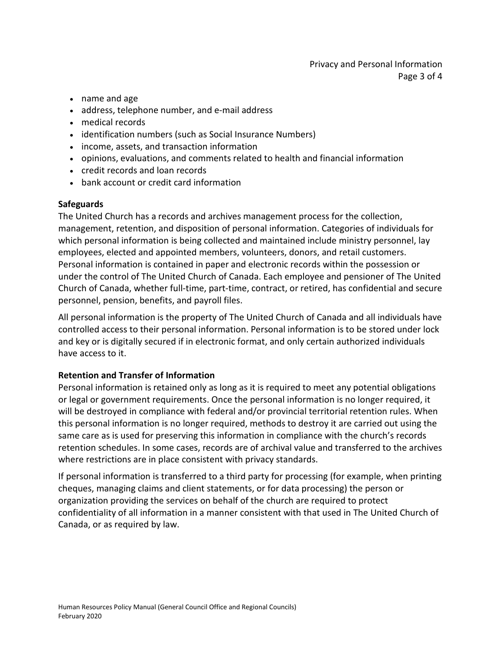# Privacy and Personal Information Page 3 of 4

- name and age
- address, telephone number, and e-mail address
- medical records
- identification numbers (such as Social Insurance Numbers)
- income, assets, and transaction information
- opinions, evaluations, and comments related to health and financial information
- credit records and loan records
- bank account or credit card information

#### **Safeguards**

The United Church has a records and archives management process for the collection, management, retention, and disposition of personal information. Categories of individuals for which personal information is being collected and maintained include ministry personnel, lay employees, elected and appointed members, volunteers, donors, and retail customers. Personal information is contained in paper and electronic records within the possession or under the control of The United Church of Canada. Each employee and pensioner of The United Church of Canada, whether full-time, part-time, contract, or retired, has confidential and secure personnel, pension, benefits, and payroll files.

All personal information is the property of The United Church of Canada and all individuals have controlled access to their personal information. Personal information is to be stored under lock and key or is digitally secured if in electronic format, and only certain authorized individuals have access to it.

#### **Retention and Transfer of Information**

Personal information is retained only as long as it is required to meet any potential obligations or legal or government requirements. Once the personal information is no longer required, it will be destroyed in compliance with federal and/or provincial territorial retention rules. When this personal information is no longer required, methods to destroy it are carried out using the same care as is used for preserving this information in compliance with the church's records retention schedules. In some cases, records are of archival value and transferred to the archives where restrictions are in place consistent with privacy standards.

If personal information is transferred to a third party for processing (for example, when printing cheques, managing claims and client statements, or for data processing) the person or organization providing the services on behalf of the church are required to protect confidentiality of all information in a manner consistent with that used in The United Church of Canada, or as required by law.